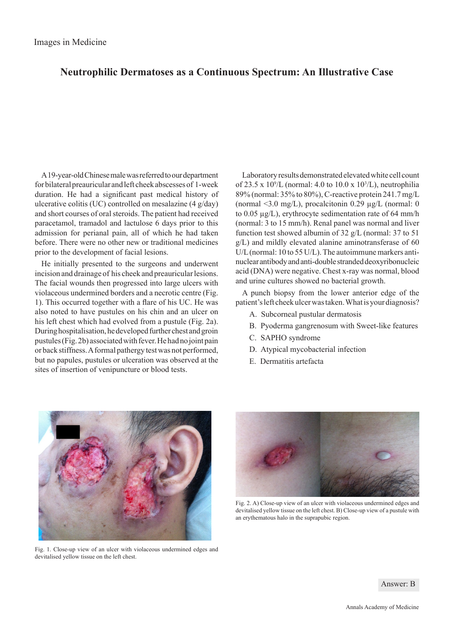## **Neutrophilic Dermatoses as a Continuous Spectrum: An Illustrative Case**

A 19-year-old Chinese male was referred to our department for bilateral preauricular and left cheek abscesses of 1-week duration. He had a significant past medical history of ulcerative colitis (UC) controlled on mesalazine (4 g/day) and short courses of oral steroids. The patient had received paracetamol, tramadol and lactulose 6 days prior to this admission for perianal pain, all of which he had taken before. There were no other new or traditional medicines prior to the development of facial lesions.

He initially presented to the surgeons and underwent incision and drainage of his cheek and preauricular lesions. The facial wounds then progressed into large ulcers with violaceous undermined borders and a necrotic centre (Fig. 1). This occurred together with a flare of his UC. He was also noted to have pustules on his chin and an ulcer on his left chest which had evolved from a pustule (Fig. 2a). During hospitalisation, he developed further chest and groin pustules (Fig. 2b) associated with fever. He had no joint pain or back stiffness. A formal pathergy test was not performed, but no papules, pustules or ulceration was observed at the sites of insertion of venipuncture or blood tests.

Laboratory results demonstrated elevated white cell count of 23.5 x  $10^9$ /L (normal: 4.0 to 10.0 x  $10^3$ /L), neutrophilia 89% (normal: 35% to 80%), C-reactive protein 241.7 mg/L (normal <3.0 mg/L), procalcitonin 0.29  $\mu$ g/L (normal: 0 to 0.05 µg/L), erythrocyte sedimentation rate of 64 mm/h (normal: 3 to 15 mm/h). Renal panel was normal and liver function test showed albumin of 32 g/L (normal: 37 to 51 g/L) and mildly elevated alanine aminotransferase of 60 U/L (normal: 10 to 55 U/L). The autoimmune markers antinuclear antibody and anti-double stranded deoxyribonucleic acid (DNA) were negative. Chest x-ray was normal, blood and urine cultures showed no bacterial growth.

A punch biopsy from the lower anterior edge of the patient's left cheek ulcer was taken. What is your diagnosis?

- A. Subcorneal pustular dermatosis
- B. Pyoderma gangrenosum with Sweet-like features
- C. SAPHO syndrome
- D. Atypical mycobacterial infection
- E. Dermatitis artefacta



Fig. 1. Close-up view of an ulcer with violaceous undermined edges and devitalised yellow tissue on the left chest.



Fig. 2. A) Close-up view of an ulcer with violaceous undermined edges and devitalised yellow tissue on the left chest. B) Close-up view of a pustule with an erythematous halo in the suprapubic region.

Answer: B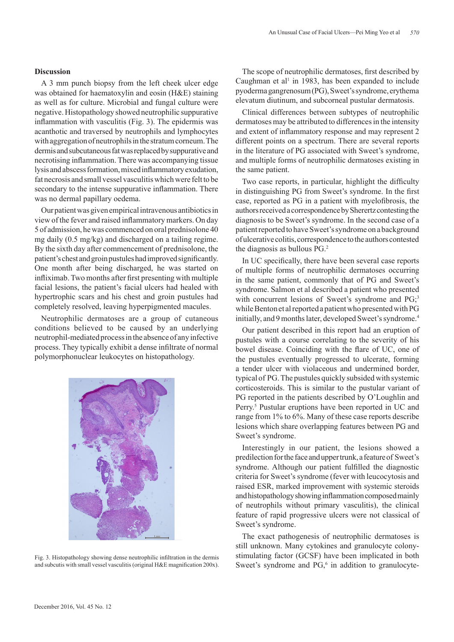## **Discussion**

A 3 mm punch biopsy from the left cheek ulcer edge was obtained for haematoxylin and eosin (H&E) staining as well as for culture. Microbial and fungal culture were negative. Histopathology showed neutrophilic suppurative inflammation with vasculitis (Fig. 3). The epidermis was acanthotic and traversed by neutrophils and lymphocytes with aggregation of neutrophils in the stratum corneum. The dermis and subcutaneous fat was replaced by suppurative and necrotising inflammation. There was accompanying tissue lysis and abscess formation, mixed inflammatory exudation, fat necrosis and small vessel vasculitis which were felt to be secondary to the intense suppurative inflammation. There was no dermal papillary oedema.

Our patient was given empirical intravenous antibiotics in view of the fever and raised inflammatory markers. On day 5 of admission, he was commenced on oral prednisolone 40 mg daily (0.5 mg/kg) and discharged on a tailing regime. By the sixth day after commencement of prednisolone, the patient's chest and groin pustules had improved significantly. One month after being discharged, he was started on infliximab. Two months after first presenting with multiple facial lesions, the patient's facial ulcers had healed with hypertrophic scars and his chest and groin pustules had completely resolved, leaving hyperpigmented macules.

Neutrophilic dermatoses are a group of cutaneous conditions believed to be caused by an underlying neutrophil-mediated process in the absence of any infective process. They typically exhibit a dense infiltrate of normal polymorphonuclear leukocytes on histopathology.



Fig. 3. Histopathology showing dense neutrophilic infiltration in the dermis and subcutis with small vessel vasculitis (original H&E magnification 200x).

The scope of neutrophilic dermatoses, first described by Caughman et al<sup>1</sup> in 1983, has been expanded to include pyoderma gangrenosum (PG), Sweet's syndrome, erythema elevatum diutinum, and subcorneal pustular dermatosis.

Clinical differences between subtypes of neutrophilic dermatoses may be attributed to differences in the intensity and extent of inflammatory response and may represent 2 different points on a spectrum. There are several reports in the literature of PG associated with Sweet's syndrome, and multiple forms of neutrophilic dermatoses existing in the same patient.

Two case reports, in particular, highlight the difficulty in distinguishing PG from Sweet's syndrome. In the first case, reported as PG in a patient with myelofibrosis, the authors received a correspondence by Sherertz contesting the diagnosis to be Sweet's syndrome. In the second case of a patient reported to have Sweet's syndrome on a background of ulcerative colitis, correspondence to the authors contested the diagnosis as bullous PG.2

In UC specifically, there have been several case reports of multiple forms of neutrophilic dermatoses occurring in the same patient, commonly that of PG and Sweet's syndrome. Salmon et al described a patient who presented with concurrent lesions of Sweet's syndrome and PG;<sup>3</sup> while Benton et al reported a patient who presented with PG initially, and 9 months later, developed Sweet's syndrome.<sup>4</sup>

Our patient described in this report had an eruption of pustules with a course correlating to the severity of his bowel disease. Coinciding with the flare of UC, one of the pustules eventually progressed to ulcerate, forming a tender ulcer with violaceous and undermined border, typical of PG. The pustules quickly subsided with systemic corticosteroids. This is similar to the pustular variant of PG reported in the patients described by O'Loughlin and Perry.<sup>5</sup> Pustular eruptions have been reported in UC and range from 1% to 6%. Many of these case reports describe lesions which share overlapping features between PG and Sweet's syndrome.

Interestingly in our patient, the lesions showed a predilection for the face and upper trunk, a feature of Sweet's syndrome. Although our patient fulfilled the diagnostic criteria for Sweet's syndrome (fever with leucocytosis and raised ESR, marked improvement with systemic steroids and histopathology showing inflammation composed mainly of neutrophils without primary vasculitis), the clinical feature of rapid progressive ulcers were not classical of Sweet's syndrome.

The exact pathogenesis of neutrophilic dermatoses is still unknown. Many cytokines and granulocyte colonystimulating factor (GCSF) have been implicated in both Sweet's syndrome and  $PG<sub>2</sub>$ <sup>6</sup> in addition to granulocyte